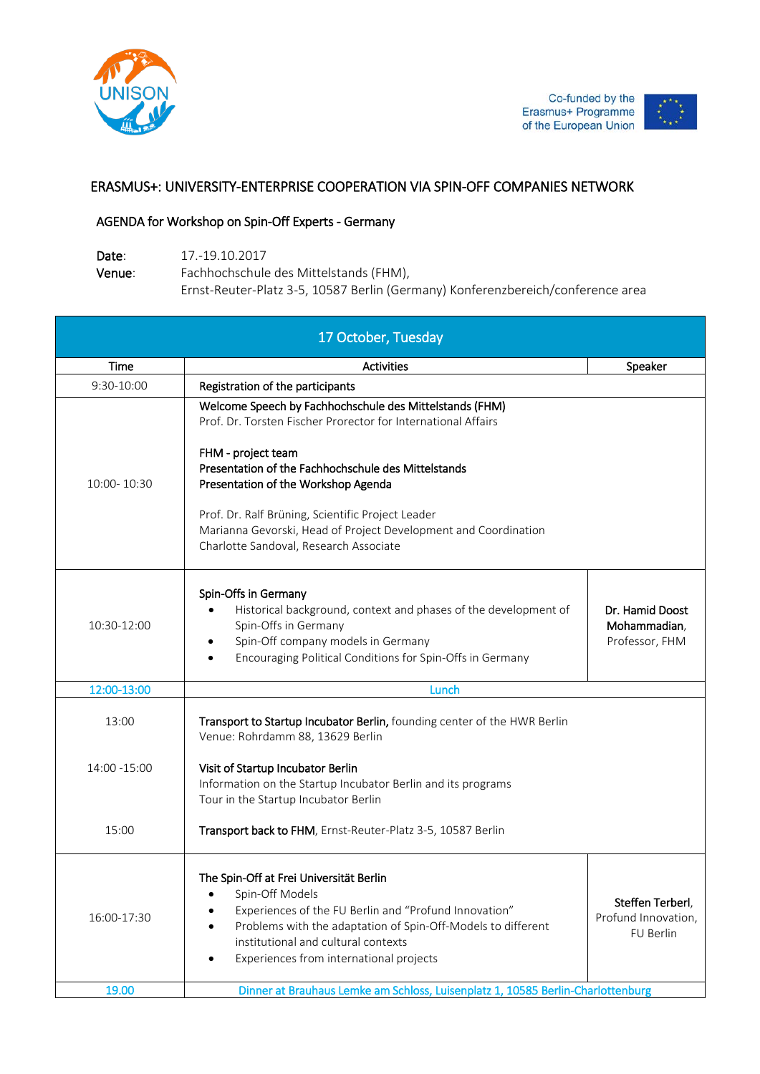

## ERASMUS+: UNIVERSITY-ENTERPRISE COOPERATION VIA SPIN-OFF COMPANIES NETWORK

## AGENDA for Workshop on Spin-Off Experts - Germany

Date: 17.-19.10.2017 Venue: Fachhochschule des Mittelstands (FHM), Ernst-Reuter-Platz 3-5, 10587 Berlin (Germany) Konferenzbereich/conference area

| 17 October, Tuesday   |                                                                                                                                                                                                                                                                                                                                                                                                                |                                                      |  |
|-----------------------|----------------------------------------------------------------------------------------------------------------------------------------------------------------------------------------------------------------------------------------------------------------------------------------------------------------------------------------------------------------------------------------------------------------|------------------------------------------------------|--|
| Time                  | <b>Activities</b>                                                                                                                                                                                                                                                                                                                                                                                              | Speaker                                              |  |
| 9:30-10:00            | Registration of the participants                                                                                                                                                                                                                                                                                                                                                                               |                                                      |  |
| 10:00-10:30           | Welcome Speech by Fachhochschule des Mittelstands (FHM)<br>Prof. Dr. Torsten Fischer Prorector for International Affairs<br>FHM - project team<br>Presentation of the Fachhochschule des Mittelstands<br>Presentation of the Workshop Agenda<br>Prof. Dr. Ralf Brüning, Scientific Project Leader<br>Marianna Gevorski, Head of Project Development and Coordination<br>Charlotte Sandoval, Research Associate |                                                      |  |
| 10:30-12:00           | Spin-Offs in Germany<br>Historical background, context and phases of the development of<br>Spin-Offs in Germany<br>Spin-Off company models in Germany<br>$\bullet$<br>Encouraging Political Conditions for Spin-Offs in Germany                                                                                                                                                                                | Dr. Hamid Doost<br>Mohammadian,<br>Professor, FHM    |  |
| 12:00-13:00           | Lunch                                                                                                                                                                                                                                                                                                                                                                                                          |                                                      |  |
| 13:00<br>14:00 -15:00 | Transport to Startup Incubator Berlin, founding center of the HWR Berlin<br>Venue: Rohrdamm 88, 13629 Berlin<br>Visit of Startup Incubator Berlin<br>Information on the Startup Incubator Berlin and its programs                                                                                                                                                                                              |                                                      |  |
|                       | Tour in the Startup Incubator Berlin                                                                                                                                                                                                                                                                                                                                                                           |                                                      |  |
| 15:00                 | Transport back to FHM, Ernst-Reuter-Platz 3-5, 10587 Berlin                                                                                                                                                                                                                                                                                                                                                    |                                                      |  |
| 16:00-17:30           | The Spin-Off at Frei Universität Berlin<br>Spin-Off Models<br>Experiences of the FU Berlin and "Profund Innovation"<br>Problems with the adaptation of Spin-Off-Models to different<br>institutional and cultural contexts<br>Experiences from international projects                                                                                                                                          | Steffen Terberl,<br>Profund Innovation,<br>FU Berlin |  |
| 19.00                 | Dinner at Brauhaus Lemke am Schloss, Luisenplatz 1, 10585 Berlin-Charlottenburg                                                                                                                                                                                                                                                                                                                                |                                                      |  |